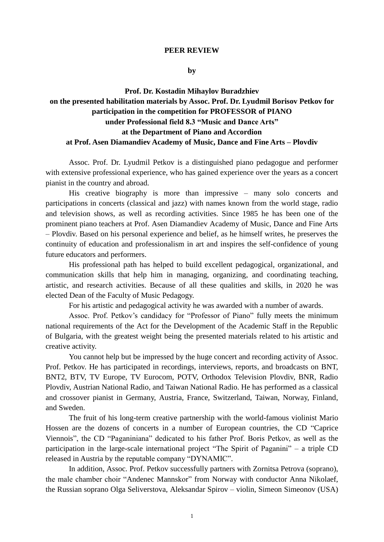## **PEER REVIEW**

**by**

## **Prof. Dr. Kostadin Mihaylov Buradzhiev on the presented habilitation materials by Assoc. Prof. Dr. Lyudmil Borisov Petkov for participation in the competition for PROFESSOR of PIANO under Professional field 8.3 "Music and Dance Arts" at the Department of Piano and Accordion at Prof. Asen Diamandiev Academy of Music, Dance and Fine Arts – Plovdiv**

Assoc. Prof. Dr. Lyudmil Petkov is a distinguished piano pedagogue and performer with extensive professional experience, who has gained experience over the years as a concert pianist in the country and abroad.

His creative biography is more than impressive – many solo concerts and participations in concerts (classical and jazz) with names known from the world stage, radio and television shows, as well as recording activities. Since 1985 he has been one of the prominent piano teachers at Prof. Asen Diamandiev Academy of Music, Dance and Fine Arts – Plovdiv. Based on his personal experience and belief, as he himself writes, he preserves the continuity of education and professionalism in art and inspires the self-confidence of young future educators and performers.

His professional path has helped to build excellent pedagogical, organizational, and communication skills that help him in managing, organizing, and coordinating teaching, artistic, and research activities. Because of all these qualities and skills, in 2020 he was elected Dean of the Faculty of Music Pedagogy.

For his artistic and pedagogical activity he was awarded with a number of awards.

Assoc. Prof. Petkov's candidacy for "Professor of Piano" fully meets the minimum national requirements of the Act for the Development of the Academic Staff in the Republic of Bulgaria, with the greatest weight being the presented materials related to his artistic and creative activity.

You cannot help but be impressed by the huge concert and recording activity of Assoc. Prof. Petkov. He has participated in recordings, interviews, reports, and broadcasts on BNT, BNT2, BTV, TV Europe, TV Eurocom, POTV, Orthodox Television Plovdiv, BNR, Radio Plovdiv, Austrian National Radio, and Taiwan National Radio. He has performed as a classical and crossover pianist in Germany, Austria, France, Switzerland, Taiwan, Norway, Finland, and Sweden.

The fruit of his long-term creative partnership with the world-famous violinist Mario Hossen are the dozens of concerts in a number of European countries, the CD "Caprice Viennois", the CD "Paganiniana" dedicated to his father Prof. Boris Petkov, as well as the participation in the large-scale international project "The Spirit of Paganini" – a triple CD released in Austria by the reputable company "DYNAMIC".

In addition, Assoc. Prof. Petkov successfully partners with Zornitsa Petrova (soprano), the male chamber choir "Andenec Mannskor" from Norway with conductor Anna Nikolaef, the Russian soprano Olga Seliverstova, Aleksandar Spirov – violin, Simeon Simeonov (USA)